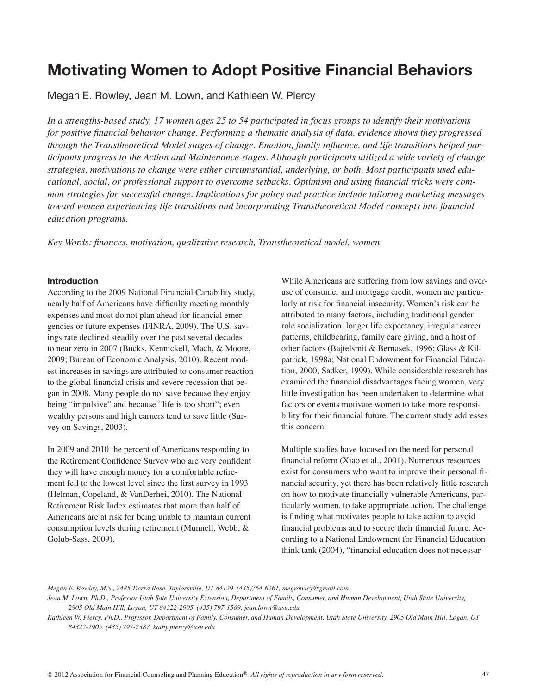# **Motivating Women to Adopt Positive Financial Behaviors**

Megan E. Rowley, Jean M. Lown, and Kathleen W. Piercy

*In a strengths-based study, 17 women ages 25 to 54 participated in focus groups to identify their motivations for positive financial behavior change. Performing a thematic analysis of data, evidence shows they progressed through the Transtheoretical Model stages of change. Emotion, family influence, and life transitions helped participants progress to the Action and Maintenance stages. Although participants utilized a wide variety of change strategies, motivations to change were either circumstantial, underlying, or both. Most participants used educational, social, or professional support to overcome setbacks. Optimism and using financial tricks were common strategies for successful change. Implications for policy and practice include tailoring marketing messages toward women experiencing life transitions and incorporating Transtheoretical Model concepts into financial education programs.* 

*Key Words: finances, motivation, qualitative research, Transtheoretical model, women*

#### **Introduction**

According to the 2009 National Financial Capability study, nearly half of Americans have difficulty meeting monthly expenses and most do not plan ahead for financial emergencies or future expenses (FINRA, 2009). The U.S. savings rate declined steadily over the past several decades to near zero in 2007 (Bucks, Kennickell, Mach, & Moore, 2009; Bureau of Economic Analysis, 2010). Recent modest increases in savings are attributed to consumer reaction to the global financial crisis and severe recession that began in 2008. Many people do not save because they enjoy being "impulsive" and because "life is too short"; even wealthy persons and high earners tend to save little (Survey on Savings, 2003).

In 2009 and 2010 the percent of Americans responding to the Retirement Confidence Survey who are very confident they will have enough money for a comfortable retirement fell to the lowest level since the first survey in 1993 (Helman, Copeland, & VanDerhei, 2010). The National Retirement Risk Index estimates that more than half of Americans are at risk for being unable to maintain current consumption levels during retirement (Munnell, Webb, & Golub-Sass, 2009).

While Americans are suffering from low savings and overuse of consumer and mortgage credit, women are particularly at risk for financial insecurity. Women's risk can be attributed to many factors, including traditional gender role socialization, longer life expectancy, irregular career patterns, childbearing, family care giving, and a host of other factors (Bajtelsmit & Bernasek, 1996; Glass & Kilpatrick, 1998a; National Endowment for Financial Education, 2000; Sadker, 1999). While considerable research has examined the financial disadvantages facing women, very little investigation has been undertaken to determine what factors or events motivate women to take more responsibility for their financial future. The current study addresses this concern.

Multiple studies have focused on the need for personal financial reform (Xiao et al., 2001). Numerous resources exist for consumers who want to improve their personal financial security, yet there has been relatively little research on how to motivate financially vulnerable Americans, particularly women, to take appropriate action. The challenge is finding what motivates people to take action to avoid financial problems and to secure their financial future. According to a National Endowment for Financial Education think tank (2004), "financial education does not necessar-

*Megan E. Rowley, M.S., 2485 Tierra Rose, Taylorsville, UT 84129, (435)764-6261, megrowley@gmail.com*

Jean M. Lown, Ph.D., Professor Utah Sate University Extension, Department of Family, Consumer, and Human Development, Utah State University, *2905 Old Main Hill, Logan, UT 84322-2905, (435) 797-1569, jean.lown@usu.edu*

*Kathleen W. Piercy, Ph.D., Professor, Department of Family, Consumer, and Human Development, Utah State University, 2905 Old Main Hill, Logan, UT 84322-2905, (435) 797-2387, kathy.piercy@usu.edu*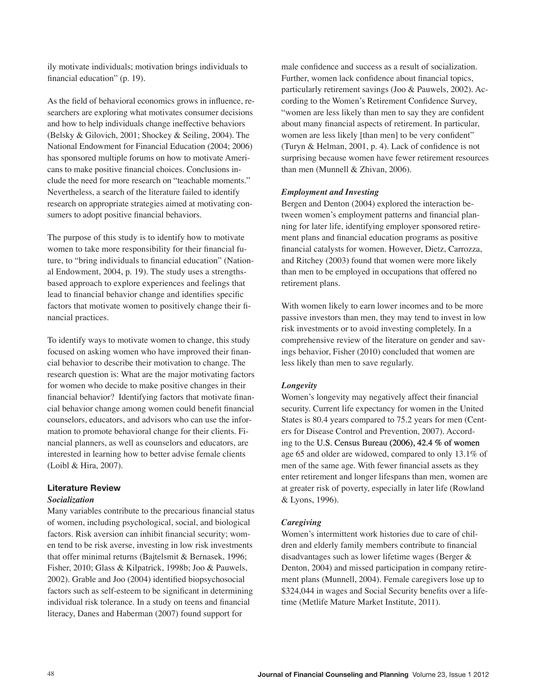ily motivate individuals; motivation brings individuals to financial education" (p. 19).

As the field of behavioral economics grows in influence, researchers are exploring what motivates consumer decisions and how to help individuals change ineffective behaviors (Belsky & Gilovich, 2001; Shockey & Seiling, 2004). The National Endowment for Financial Education (2004; 2006) has sponsored multiple forums on how to motivate Americans to make positive financial choices. Conclusions include the need for more research on "teachable moments." Nevertheless, a search of the literature failed to identify research on appropriate strategies aimed at motivating consumers to adopt positive financial behaviors.

The purpose of this study is to identify how to motivate women to take more responsibility for their financial future, to "bring individuals to financial education" (National Endowment, 2004, p. 19). The study uses a strengthsbased approach to explore experiences and feelings that lead to financial behavior change and identifies specific factors that motivate women to positively change their financial practices.

To identify ways to motivate women to change, this study focused on asking women who have improved their financial behavior to describe their motivation to change. The research question is: What are the major motivating factors for women who decide to make positive changes in their financial behavior? Identifying factors that motivate financial behavior change among women could benefit financial counselors, educators, and advisors who can use the information to promote behavioral change for their clients. Financial planners, as well as counselors and educators, are interested in learning how to better advise female clients (Loibl & Hira, 2007).

# **Literature Review**

#### *Socialization*

Many variables contribute to the precarious financial status of women, including psychological, social, and biological factors. Risk aversion can inhibit financial security; women tend to be risk averse, investing in low risk investments that offer minimal returns (Bajtelsmit & Bernasek, 1996; Fisher, 2010; Glass & Kilpatrick, 1998b; Joo & Pauwels, 2002). Grable and Joo (2004) identified biopsychosocial factors such as self-esteem to be significant in determining individual risk tolerance. In a study on teens and financial literacy, Danes and Haberman (2007) found support for

male confidence and success as a result of socialization. Further, women lack confidence about financial topics, particularly retirement savings (Joo & Pauwels, 2002). According to the Women's Retirement Confidence Survey, "women are less likely than men to say they are confident about many financial aspects of retirement. In particular, women are less likely [than men] to be very confident" (Turyn & Helman, 2001, p. 4). Lack of confidence is not surprising because women have fewer retirement resources than men (Munnell & Zhivan, 2006).

## *Employment and Investing*

Bergen and Denton (2004) explored the interaction between women's employment patterns and financial planning for later life, identifying employer sponsored retirement plans and financial education programs as positive financial catalysts for women. However, Dietz, Carrozza, and Ritchey (2003) found that women were more likely than men to be employed in occupations that offered no retirement plans.

With women likely to earn lower incomes and to be more passive investors than men, they may tend to invest in low risk investments or to avoid investing completely. In a comprehensive review of the literature on gender and savings behavior, Fisher (2010) concluded that women are less likely than men to save regularly.

# *Longevity*

Women's longevity may negatively affect their financial security. Current life expectancy for women in the United States is 80.4 years compared to 75.2 years for men (Centers for Disease Control and Prevention, 2007). According to the U.S. Census Bureau (2006), 42.4 % of women age 65 and older are widowed, compared to only 13.1% of men of the same age. With fewer financial assets as they enter retirement and longer lifespans than men, women are at greater risk of poverty, especially in later life (Rowland & Lyons, 1996).

# *Caregiving*

Women's intermittent work histories due to care of children and elderly family members contribute to financial disadvantages such as lower lifetime wages (Berger & Denton, 2004) and missed participation in company retirement plans (Munnell, 2004). Female caregivers lose up to \$324,044 in wages and Social Security benefits over a lifetime (Metlife Mature Market Institute, 2011).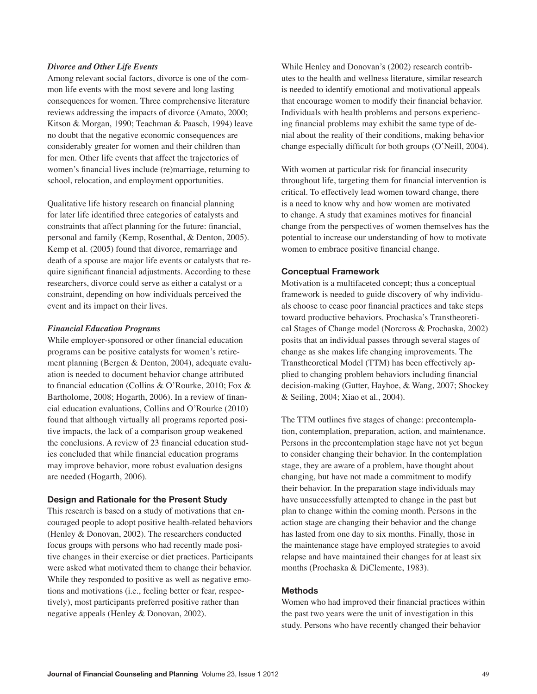#### *Divorce and Other Life Events*

Among relevant social factors, divorce is one of the common life events with the most severe and long lasting consequences for women. Three comprehensive literature reviews addressing the impacts of divorce (Amato, 2000; Kitson & Morgan, 1990; Teachman & Paasch, 1994) leave no doubt that the negative economic consequences are considerably greater for women and their children than for men. Other life events that affect the trajectories of women's financial lives include (re)marriage, returning to school, relocation, and employment opportunities.

Qualitative life history research on financial planning for later life identified three categories of catalysts and constraints that affect planning for the future: financial, personal and family (Kemp, Rosenthal, & Denton, 2005). Kemp et al. (2005) found that divorce, remarriage and death of a spouse are major life events or catalysts that require significant financial adjustments. According to these researchers, divorce could serve as either a catalyst or a constraint, depending on how individuals perceived the event and its impact on their lives.

#### *Financial Education Programs*

While employer-sponsored or other financial education programs can be positive catalysts for women's retirement planning (Bergen & Denton, 2004), adequate evaluation is needed to document behavior change attributed to financial education (Collins & O'Rourke, 2010; Fox & Bartholome, 2008; Hogarth, 2006). In a review of financial education evaluations, Collins and O'Rourke (2010) found that although virtually all programs reported positive impacts, the lack of a comparison group weakened the conclusions. A review of 23 financial education studies concluded that while financial education programs may improve behavior, more robust evaluation designs are needed (Hogarth, 2006).

#### **Design and Rationale for the Present Study**

This research is based on a study of motivations that encouraged people to adopt positive health-related behaviors (Henley & Donovan, 2002). The researchers conducted focus groups with persons who had recently made positive changes in their exercise or diet practices. Participants were asked what motivated them to change their behavior. While they responded to positive as well as negative emotions and motivations (i.e., feeling better or fear, respectively), most participants preferred positive rather than negative appeals (Henley & Donovan, 2002).

While Henley and Donovan's (2002) research contributes to the health and wellness literature, similar research is needed to identify emotional and motivational appeals that encourage women to modify their financial behavior. Individuals with health problems and persons experiencing financial problems may exhibit the same type of denial about the reality of their conditions, making behavior change especially difficult for both groups (O'Neill, 2004).

With women at particular risk for financial insecurity throughout life, targeting them for financial intervention is critical. To effectively lead women toward change, there is a need to know why and how women are motivated to change. A study that examines motives for financial change from the perspectives of women themselves has the potential to increase our understanding of how to motivate women to embrace positive financial change.

# **Conceptual Framework**

Motivation is a multifaceted concept; thus a conceptual framework is needed to guide discovery of why individuals choose to cease poor financial practices and take steps toward productive behaviors. Prochaska's Transtheoretical Stages of Change model (Norcross & Prochaska, 2002) posits that an individual passes through several stages of change as she makes life changing improvements. The Transtheoretical Model (TTM) has been effectively applied to changing problem behaviors including financial decision-making (Gutter, Hayhoe, & Wang, 2007; Shockey & Seiling, 2004; Xiao et al., 2004).

The TTM outlines five stages of change: precontemplation, contemplation, preparation, action, and maintenance. Persons in the precontemplation stage have not yet begun to consider changing their behavior. In the contemplation stage, they are aware of a problem, have thought about changing, but have not made a commitment to modify their behavior. In the preparation stage individuals may have unsuccessfully attempted to change in the past but plan to change within the coming month. Persons in the action stage are changing their behavior and the change has lasted from one day to six months. Finally, those in the maintenance stage have employed strategies to avoid relapse and have maintained their changes for at least six months (Prochaska & DiClemente, 1983).

# **Methods**

Women who had improved their financial practices within the past two years were the unit of investigation in this study. Persons who have recently changed their behavior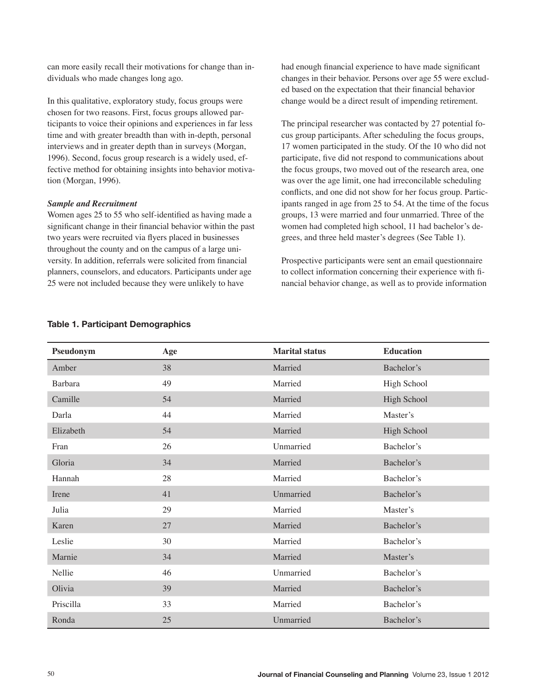can more easily recall their motivations for change than individuals who made changes long ago.

In this qualitative, exploratory study, focus groups were chosen for two reasons. First, focus groups allowed participants to voice their opinions and experiences in far less time and with greater breadth than with in-depth, personal interviews and in greater depth than in surveys (Morgan, 1996). Second, focus group research is a widely used, effective method for obtaining insights into behavior motivation (Morgan, 1996).

#### *Sample and Recruitment*

Women ages 25 to 55 who self-identified as having made a significant change in their financial behavior within the past two years were recruited via flyers placed in businesses throughout the county and on the campus of a large university. In addition, referrals were solicited from financial planners, counselors, and educators. Participants under age 25 were not included because they were unlikely to have

had enough financial experience to have made significant changes in their behavior. Persons over age 55 were excluded based on the expectation that their financial behavior change would be a direct result of impending retirement.

The principal researcher was contacted by 27 potential focus group participants. After scheduling the focus groups, 17 women participated in the study. Of the 10 who did not participate, five did not respond to communications about the focus groups, two moved out of the research area, one was over the age limit, one had irreconcilable scheduling conflicts, and one did not show for her focus group. Participants ranged in age from 25 to 54. At the time of the focus groups, 13 were married and four unmarried. Three of the women had completed high school, 11 had bachelor's degrees, and three held master's degrees (See Table 1).

Prospective participants were sent an email questionnaire to collect information concerning their experience with financial behavior change, as well as to provide information

| Pseudonym | Age | <b>Marital status</b> | <b>Education</b> |
|-----------|-----|-----------------------|------------------|
| Amber     | 38  | Married               | Bachelor's       |
| Barbara   | 49  | Married               | High School      |
| Camille   | 54  | Married               | High School      |
| Darla     | 44  | Married               | Master's         |
| Elizabeth | 54  | Married               | High School      |
| Fran      | 26  | Unmarried             | Bachelor's       |
| Gloria    | 34  | Married               | Bachelor's       |
| Hannah    | 28  | Married               | Bachelor's       |
| Irene     | 41  | Unmarried             | Bachelor's       |
| Julia     | 29  | Married               | Master's         |
| Karen     | 27  | Married               | Bachelor's       |
| Leslie    | 30  | Married               | Bachelor's       |
| Marnie    | 34  | Married               | Master's         |
| Nellie    | 46  | Unmarried             | Bachelor's       |
| Olivia    | 39  | Married               | Bachelor's       |
| Priscilla | 33  | Married               | Bachelor's       |
| Ronda     | 25  | Unmarried             | Bachelor's       |

# **Table 1. Participant Demographics**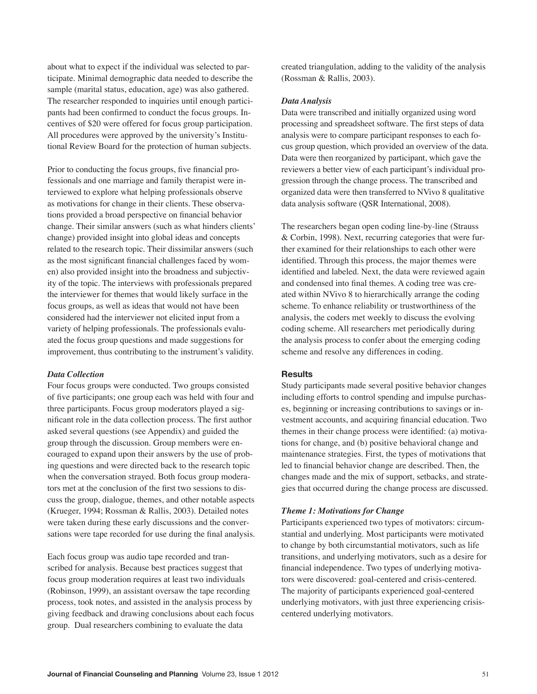about what to expect if the individual was selected to participate. Minimal demographic data needed to describe the sample (marital status, education, age) was also gathered. The researcher responded to inquiries until enough participants had been confirmed to conduct the focus groups. Incentives of \$20 were offered for focus group participation. All procedures were approved by the university's Institutional Review Board for the protection of human subjects.

Prior to conducting the focus groups, five financial professionals and one marriage and family therapist were interviewed to explore what helping professionals observe as motivations for change in their clients. These observations provided a broad perspective on financial behavior change. Their similar answers (such as what hinders clients' change) provided insight into global ideas and concepts related to the research topic. Their dissimilar answers (such as the most significant financial challenges faced by women) also provided insight into the broadness and subjectivity of the topic. The interviews with professionals prepared the interviewer for themes that would likely surface in the focus groups, as well as ideas that would not have been considered had the interviewer not elicited input from a variety of helping professionals. The professionals evaluated the focus group questions and made suggestions for improvement, thus contributing to the instrument's validity.

#### *Data Collection*

Four focus groups were conducted. Two groups consisted of five participants; one group each was held with four and three participants. Focus group moderators played a significant role in the data collection process. The first author asked several questions (see Appendix) and guided the group through the discussion. Group members were encouraged to expand upon their answers by the use of probing questions and were directed back to the research topic when the conversation strayed. Both focus group moderators met at the conclusion of the first two sessions to discuss the group, dialogue, themes, and other notable aspects (Krueger, 1994; Rossman & Rallis, 2003). Detailed notes were taken during these early discussions and the conversations were tape recorded for use during the final analysis.

Each focus group was audio tape recorded and transcribed for analysis. Because best practices suggest that focus group moderation requires at least two individuals (Robinson, 1999), an assistant oversaw the tape recording process, took notes, and assisted in the analysis process by giving feedback and drawing conclusions about each focus group. Dual researchers combining to evaluate the data

created triangulation, adding to the validity of the analysis (Rossman & Rallis, 2003).

#### *Data Analysis*

Data were transcribed and initially organized using word processing and spreadsheet software. The first steps of data analysis were to compare participant responses to each focus group question, which provided an overview of the data. Data were then reorganized by participant, which gave the reviewers a better view of each participant's individual progression through the change process. The transcribed and organized data were then transferred to NVivo 8 qualitative data analysis software (QSR International, 2008).

The researchers began open coding line-by-line (Strauss & Corbin, 1998). Next, recurring categories that were further examined for their relationships to each other were identified. Through this process, the major themes were identified and labeled. Next, the data were reviewed again and condensed into final themes. A coding tree was created within NVivo 8 to hierarchically arrange the coding scheme. To enhance reliability or trustworthiness of the analysis, the coders met weekly to discuss the evolving coding scheme. All researchers met periodically during the analysis process to confer about the emerging coding scheme and resolve any differences in coding.

#### **Results**

Study participants made several positive behavior changes including efforts to control spending and impulse purchases, beginning or increasing contributions to savings or investment accounts, and acquiring financial education. Two themes in their change process were identified: (a) motivations for change, and (b) positive behavioral change and maintenance strategies. First, the types of motivations that led to financial behavior change are described. Then, the changes made and the mix of support, setbacks, and strategies that occurred during the change process are discussed.

#### *Theme 1: Motivations for Change*

Participants experienced two types of motivators: circumstantial and underlying. Most participants were motivated to change by both circumstantial motivators, such as life transitions, and underlying motivators, such as a desire for financial independence. Two types of underlying motivators were discovered: goal-centered and crisis-centered. The majority of participants experienced goal-centered underlying motivators, with just three experiencing crisiscentered underlying motivators.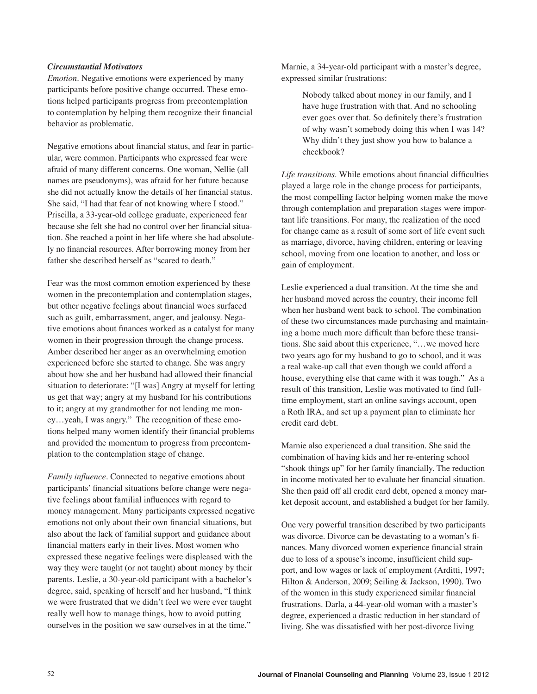### *Circumstantial Motivators*

*Emotion.* Negative emotions were experienced by many participants before positive change occurred. These emotions helped participants progress from precontemplation to contemplation by helping them recognize their financial behavior as problematic.

Negative emotions about financial status, and fear in particular, were common. Participants who expressed fear were afraid of many different concerns. One woman, Nellie (all names are pseudonyms), was afraid for her future because she did not actually know the details of her financial status. She said, "I had that fear of not knowing where I stood." Priscilla, a 33-year-old college graduate, experienced fear because she felt she had no control over her financial situation. She reached a point in her life where she had absolutely no financial resources. After borrowing money from her father she described herself as "scared to death."

Fear was the most common emotion experienced by these women in the precontemplation and contemplation stages, but other negative feelings about financial woes surfaced such as guilt, embarrassment, anger, and jealousy. Negative emotions about finances worked as a catalyst for many women in their progression through the change process. Amber described her anger as an overwhelming emotion experienced before she started to change. She was angry about how she and her husband had allowed their financial situation to deteriorate: "[I was] Angry at myself for letting us get that way; angry at my husband for his contributions to it; angry at my grandmother for not lending me money…yeah, I was angry." The recognition of these emotions helped many women identify their financial problems and provided the momentum to progress from precontemplation to the contemplation stage of change.

*Family influence.* Connected to negative emotions about participants' financial situations before change were negative feelings about familial influences with regard to money management. Many participants expressed negative emotions not only about their own financial situations, but also about the lack of familial support and guidance about financial matters early in their lives. Most women who expressed these negative feelings were displeased with the way they were taught (or not taught) about money by their parents. Leslie, a 30-year-old participant with a bachelor's degree, said, speaking of herself and her husband, "I think we were frustrated that we didn't feel we were ever taught really well how to manage things, how to avoid putting ourselves in the position we saw ourselves in at the time."

Marnie, a 34-year-old participant with a master's degree, expressed similar frustrations:

> Nobody talked about money in our family, and I have huge frustration with that. And no schooling ever goes over that. So definitely there's frustration of why wasn't somebody doing this when I was 14? Why didn't they just show you how to balance a checkbook?

*Life transitions.* While emotions about financial difficulties played a large role in the change process for participants, the most compelling factor helping women make the move through contemplation and preparation stages were important life transitions. For many, the realization of the need for change came as a result of some sort of life event such as marriage, divorce, having children, entering or leaving school, moving from one location to another, and loss or gain of employment.

Leslie experienced a dual transition. At the time she and her husband moved across the country, their income fell when her husband went back to school. The combination of these two circumstances made purchasing and maintaining a home much more difficult than before these transitions. She said about this experience, "…we moved here two years ago for my husband to go to school, and it was a real wake-up call that even though we could afford a house, everything else that came with it was tough." As a result of this transition, Leslie was motivated to find fulltime employment, start an online savings account, open a Roth IRA, and set up a payment plan to eliminate her credit card debt.

Marnie also experienced a dual transition. She said the combination of having kids and her re-entering school "shook things up" for her family financially. The reduction in income motivated her to evaluate her financial situation. She then paid off all credit card debt, opened a money market deposit account, and established a budget for her family.

One very powerful transition described by two participants was divorce. Divorce can be devastating to a woman's finances. Many divorced women experience financial strain due to loss of a spouse's income, insufficient child support, and low wages or lack of employment (Arditti, 1997; Hilton & Anderson, 2009; Seiling & Jackson, 1990). Two of the women in this study experienced similar financial frustrations. Darla, a 44-year-old woman with a master's degree, experienced a drastic reduction in her standard of living. She was dissatisfied with her post-divorce living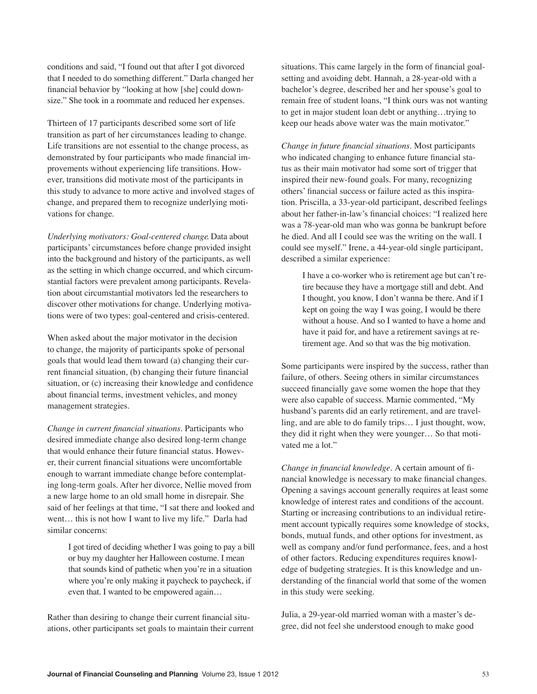conditions and said, "I found out that after I got divorced that I needed to do something different." Darla changed her financial behavior by "looking at how [she] could downsize." She took in a roommate and reduced her expenses.

Thirteen of 17 participants described some sort of life transition as part of her circumstances leading to change. Life transitions are not essential to the change process, as demonstrated by four participants who made financial improvements without experiencing life transitions. However, transitions did motivate most of the participants in this study to advance to more active and involved stages of change, and prepared them to recognize underlying motivations for change.

*Underlying motivators: Goal-centered change*. Data about participants' circumstances before change provided insight into the background and history of the participants, as well as the setting in which change occurred, and which circumstantial factors were prevalent among participants. Revelation about circumstantial motivators led the researchers to discover other motivations for change. Underlying motivations were of two types: goal-centered and crisis-centered.

When asked about the major motivator in the decision to change, the majority of participants spoke of personal goals that would lead them toward (a) changing their current financial situation, (b) changing their future financial situation, or (c) increasing their knowledge and confidence about financial terms, investment vehicles, and money management strategies.

*Change in current financial situations*. Participants who desired immediate change also desired long-term change that would enhance their future financial status. However, their current financial situations were uncomfortable enough to warrant immediate change before contemplating long-term goals. After her divorce, Nellie moved from a new large home to an old small home in disrepair. She said of her feelings at that time, "I sat there and looked and went… this is not how I want to live my life." Darla had similar concerns:

> I got tired of deciding whether I was going to pay a bill or buy my daughter her Halloween costume. I mean that sounds kind of pathetic when you're in a situation where you're only making it paycheck to paycheck, if even that. I wanted to be empowered again…

Rather than desiring to change their current financial situations, other participants set goals to maintain their current

situations. This came largely in the form of financial goalsetting and avoiding debt. Hannah, a 28-year-old with a bachelor's degree, described her and her spouse's goal to remain free of student loans, "I think ours was not wanting to get in major student loan debt or anything…trying to keep our heads above water was the main motivator."

*Change in future financial situations*. Most participants who indicated changing to enhance future financial status as their main motivator had some sort of trigger that inspired their new-found goals. For many, recognizing others' financial success or failure acted as this inspiration. Priscilla, a 33-year-old participant, described feelings about her father-in-law's financial choices: "I realized here was a 78-year-old man who was gonna be bankrupt before he died. And all I could see was the writing on the wall. I could see myself." Irene, a 44-year-old single participant, described a similar experience:

> I have a co-worker who is retirement age but can't retire because they have a mortgage still and debt. And I thought, you know, I don't wanna be there. And if I kept on going the way I was going, I would be there without a house. And so I wanted to have a home and have it paid for, and have a retirement savings at retirement age. And so that was the big motivation.

Some participants were inspired by the success, rather than failure, of others. Seeing others in similar circumstances succeed financially gave some women the hope that they were also capable of success. Marnie commented, "My husband's parents did an early retirement, and are travelling, and are able to do family trips… I just thought, wow, they did it right when they were younger… So that motivated me a lot."

*Change in financial knowledge*. A certain amount of financial knowledge is necessary to make financial changes. Opening a savings account generally requires at least some knowledge of interest rates and conditions of the account. Starting or increasing contributions to an individual retirement account typically requires some knowledge of stocks, bonds, mutual funds, and other options for investment, as well as company and/or fund performance, fees, and a host of other factors. Reducing expenditures requires knowledge of budgeting strategies. It is this knowledge and understanding of the financial world that some of the women in this study were seeking.

Julia, a 29-year-old married woman with a master's degree, did not feel she understood enough to make good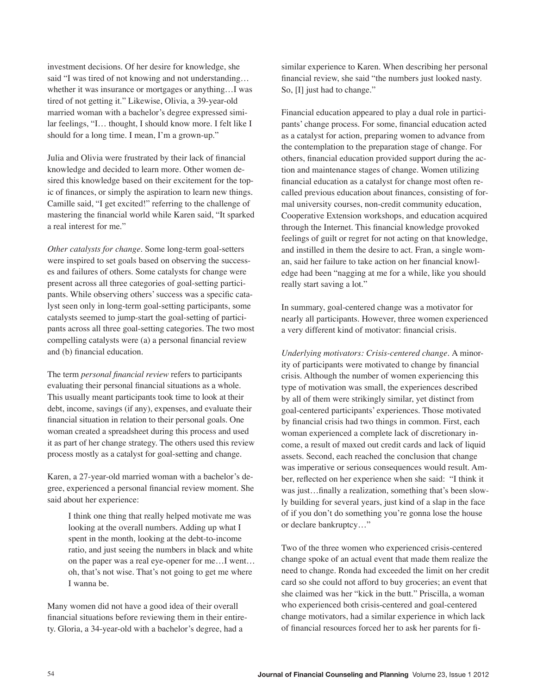investment decisions. Of her desire for knowledge, she said "I was tired of not knowing and not understanding… whether it was insurance or mortgages or anything…I was tired of not getting it." Likewise, Olivia, a 39-year-old married woman with a bachelor's degree expressed similar feelings, "I… thought, I should know more. I felt like I should for a long time. I mean, I'm a grown-up."

Julia and Olivia were frustrated by their lack of financial knowledge and decided to learn more. Other women desired this knowledge based on their excitement for the topic of finances, or simply the aspiration to learn new things. Camille said, "I get excited!" referring to the challenge of mastering the financial world while Karen said, "It sparked a real interest for me."

*Other catalysts for change*. Some long-term goal-setters were inspired to set goals based on observing the successes and failures of others. Some catalysts for change were present across all three categories of goal-setting participants. While observing others' success was a specific catalyst seen only in long-term goal-setting participants, some catalysts seemed to jump-start the goal-setting of participants across all three goal-setting categories. The two most compelling catalysts were (a) a personal financial review and (b) financial education.

The term *personal financial review* refers to participants evaluating their personal financial situations as a whole. This usually meant participants took time to look at their debt, income, savings (if any), expenses, and evaluate their financial situation in relation to their personal goals. One woman created a spreadsheet during this process and used it as part of her change strategy. The others used this review process mostly as a catalyst for goal-setting and change.

Karen, a 27-year-old married woman with a bachelor's degree, experienced a personal financial review moment. She said about her experience:

> I think one thing that really helped motivate me was looking at the overall numbers. Adding up what I spent in the month, looking at the debt-to-income ratio, and just seeing the numbers in black and white on the paper was a real eye-opener for me…I went… oh, that's not wise. That's not going to get me where I wanna be.

Many women did not have a good idea of their overall financial situations before reviewing them in their entirety. Gloria, a 34-year-old with a bachelor's degree, had a

similar experience to Karen. When describing her personal financial review, she said "the numbers just looked nasty. So, [I] just had to change."

Financial education appeared to play a dual role in participants' change process. For some, financial education acted as a catalyst for action, preparing women to advance from the contemplation to the preparation stage of change. For others, financial education provided support during the action and maintenance stages of change. Women utilizing financial education as a catalyst for change most often recalled previous education about finances, consisting of formal university courses, non-credit community education, Cooperative Extension workshops, and education acquired through the Internet. This financial knowledge provoked feelings of guilt or regret for not acting on that knowledge, and instilled in them the desire to act. Fran, a single woman, said her failure to take action on her financial knowledge had been "nagging at me for a while, like you should really start saving a lot."

In summary, goal-centered change was a motivator for nearly all participants. However, three women experienced a very different kind of motivator: financial crisis.

*Underlying motivators: Crisis-centered change.* A minority of participants were motivated to change by financial crisis. Although the number of women experiencing this type of motivation was small, the experiences described by all of them were strikingly similar, yet distinct from goal-centered participants' experiences. Those motivated by financial crisis had two things in common. First, each woman experienced a complete lack of discretionary income, a result of maxed out credit cards and lack of liquid assets. Second, each reached the conclusion that change was imperative or serious consequences would result. Amber, reflected on her experience when she said: "I think it was just…finally a realization, something that's been slowly building for several years, just kind of a slap in the face of if you don't do something you're gonna lose the house or declare bankruptcy…"

Two of the three women who experienced crisis-centered change spoke of an actual event that made them realize the need to change. Ronda had exceeded the limit on her credit card so she could not afford to buy groceries; an event that she claimed was her "kick in the butt." Priscilla, a woman who experienced both crisis-centered and goal-centered change motivators, had a similar experience in which lack of financial resources forced her to ask her parents for fi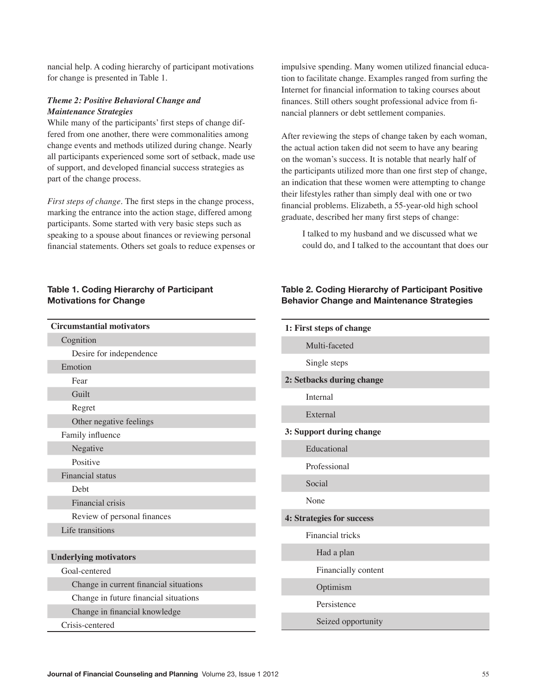nancial help. A coding hierarchy of participant motivations for change is presented in Table 1.

# *Theme 2: Positive Behavioral Change and Maintenance Strategies*

While many of the participants' first steps of change differed from one another, there were commonalities among change events and methods utilized during change. Nearly all participants experienced some sort of setback, made use of support, and developed financial success strategies as part of the change process.

*First steps of change.* The first steps in the change process, marking the entrance into the action stage, differed among participants. Some started with very basic steps such as speaking to a spouse about finances or reviewing personal financial statements. Others set goals to reduce expenses or

# **Table 1. Coding Hierarchy of Participant Motivations for Change**

| <b>Circumstantial motivators</b> |  |  |
|----------------------------------|--|--|
| Cognition                        |  |  |
| Desire for independence          |  |  |
| Emotion                          |  |  |
| Fear                             |  |  |
| Guilt                            |  |  |
| Regret                           |  |  |
| Other negative feelings          |  |  |
| Family influence                 |  |  |
| Negative                         |  |  |
| Positive                         |  |  |
| <b>Financial</b> status          |  |  |
| Debt                             |  |  |
| Financial crisis                 |  |  |
| Review of personal finances      |  |  |
| Life transitions                 |  |  |
|                                  |  |  |
| <b>Underlying motivators</b>     |  |  |
|                                  |  |  |

Goal-centered

Change in current financial situations

Change in future financial situations

Change in financial knowledge

Crisis-centered

impulsive spending. Many women utilized financial education to facilitate change. Examples ranged from surfing the Internet for financial information to taking courses about finances. Still others sought professional advice from financial planners or debt settlement companies.

After reviewing the steps of change taken by each woman, the actual action taken did not seem to have any bearing on the woman's success. It is notable that nearly half of the participants utilized more than one first step of change, an indication that these women were attempting to change their lifestyles rather than simply deal with one or two financial problems. Elizabeth, a 55-year-old high school graduate, described her many first steps of change:

I talked to my husband and we discussed what we could do, and I talked to the accountant that does our

# **Table 2. Coding Hierarchy of Participant Positive Behavior Change and Maintenance Strategies**

| 1: First steps of change  |                           |  |
|---------------------------|---------------------------|--|
|                           | Multi-faceted             |  |
|                           | Single steps              |  |
|                           | 2: Setbacks during change |  |
|                           | Internal                  |  |
|                           | External                  |  |
|                           | 3: Support during change  |  |
|                           | Educational               |  |
|                           | Professional              |  |
|                           | Social                    |  |
|                           | None                      |  |
| 4: Strategies for success |                           |  |
|                           | Financial tricks          |  |
|                           | Had a plan                |  |
|                           | Financially content       |  |
|                           | Optimism                  |  |
|                           | Persistence               |  |
|                           | Seized opportunity        |  |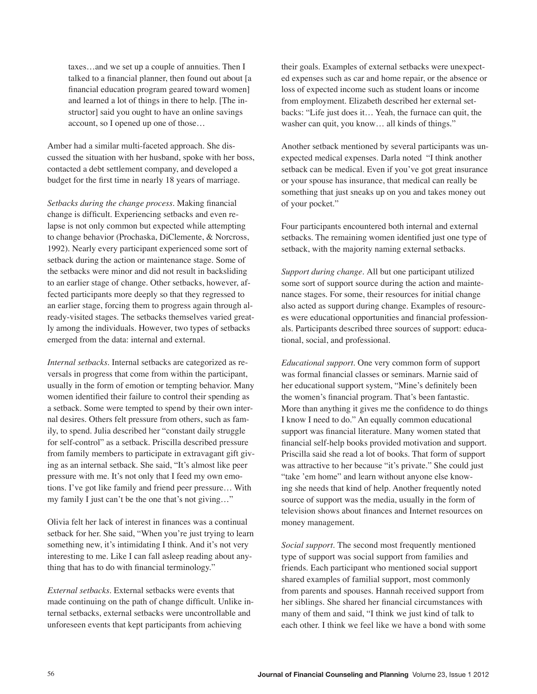taxes…and we set up a couple of annuities. Then I talked to a financial planner, then found out about [a financial education program geared toward women] and learned a lot of things in there to help. [The instructor] said you ought to have an online savings account, so I opened up one of those…

Amber had a similar multi-faceted approach. She discussed the situation with her husband, spoke with her boss, contacted a debt settlement company, and developed a budget for the first time in nearly 18 years of marriage.

*Setbacks during the change process.* Making financial change is difficult. Experiencing setbacks and even relapse is not only common but expected while attempting to change behavior (Prochaska, DiClemente, & Norcross, 1992). Nearly every participant experienced some sort of setback during the action or maintenance stage. Some of the setbacks were minor and did not result in backsliding to an earlier stage of change. Other setbacks, however, affected participants more deeply so that they regressed to an earlier stage, forcing them to progress again through already-visited stages. The setbacks themselves varied greatly among the individuals. However, two types of setbacks emerged from the data: internal and external.

*Internal setbacks.* Internal setbacks are categorized as reversals in progress that come from within the participant, usually in the form of emotion or tempting behavior. Many women identified their failure to control their spending as a setback. Some were tempted to spend by their own internal desires. Others felt pressure from others, such as family, to spend. Julia described her "constant daily struggle for self-control" as a setback. Priscilla described pressure from family members to participate in extravagant gift giving as an internal setback. She said, "It's almost like peer pressure with me. It's not only that I feed my own emotions. I've got like family and friend peer pressure… With my family I just can't be the one that's not giving…"

Olivia felt her lack of interest in finances was a continual setback for her. She said, "When you're just trying to learn something new, it's intimidating I think. And it's not very interesting to me. Like I can fall asleep reading about anything that has to do with financial terminology."

*External setbacks.* External setbacks were events that made continuing on the path of change difficult. Unlike internal setbacks, external setbacks were uncontrollable and unforeseen events that kept participants from achieving

their goals. Examples of external setbacks were unexpected expenses such as car and home repair, or the absence or loss of expected income such as student loans or income from employment. Elizabeth described her external setbacks: "Life just does it… Yeah, the furnace can quit, the washer can quit, you know… all kinds of things."

Another setback mentioned by several participants was unexpected medical expenses. Darla noted "I think another setback can be medical. Even if you've got great insurance or your spouse has insurance, that medical can really be something that just sneaks up on you and takes money out of your pocket."

Four participants encountered both internal and external setbacks. The remaining women identified just one type of setback, with the majority naming external setbacks.

*Support during change.* All but one participant utilized some sort of support source during the action and maintenance stages. For some, their resources for initial change also acted as support during change. Examples of resources were educational opportunities and financial professionals. Participants described three sources of support: educational, social, and professional.

*Educational support.* One very common form of support was formal financial classes or seminars. Marnie said of her educational support system, "Mine's definitely been the women's financial program. That's been fantastic. More than anything it gives me the confidence to do things I know I need to do." An equally common educational support was financial literature. Many women stated that financial self-help books provided motivation and support. Priscilla said she read a lot of books. That form of support was attractive to her because "it's private." She could just "take 'em home" and learn without anyone else knowing she needs that kind of help. Another frequently noted source of support was the media, usually in the form of television shows about finances and Internet resources on money management.

*Social support.* The second most frequently mentioned type of support was social support from families and friends. Each participant who mentioned social support shared examples of familial support, most commonly from parents and spouses. Hannah received support from her siblings. She shared her financial circumstances with many of them and said, "I think we just kind of talk to each other. I think we feel like we have a bond with some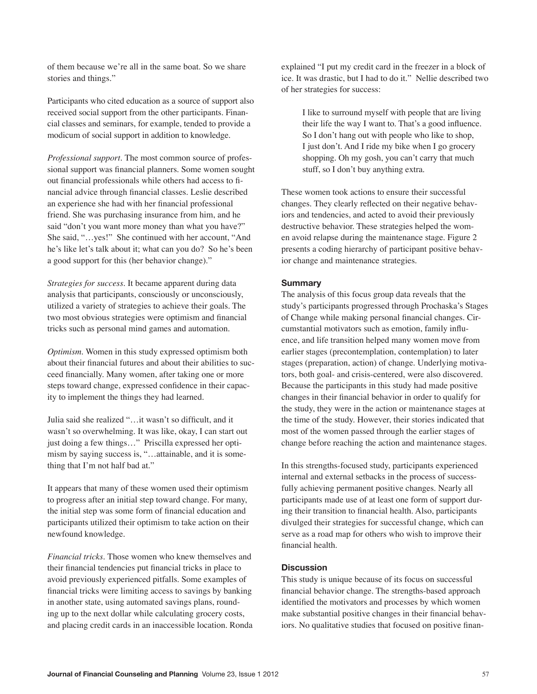of them because we're all in the same boat. So we share stories and things."

Participants who cited education as a source of support also received social support from the other participants. Financial classes and seminars, for example, tended to provide a modicum of social support in addition to knowledge.

*Professional support.* The most common source of professional support was financial planners. Some women sought out financial professionals while others had access to financial advice through financial classes. Leslie described an experience she had with her financial professional friend. She was purchasing insurance from him, and he said "don't you want more money than what you have?" She said, "…yes!" She continued with her account, "And he's like let's talk about it; what can you do? So he's been a good support for this (her behavior change)."

*Strategies for success.* It became apparent during data analysis that participants, consciously or unconsciously, utilized a variety of strategies to achieve their goals. The two most obvious strategies were optimism and financial tricks such as personal mind games and automation.

*Optimism*. Women in this study expressed optimism both about their financial futures and about their abilities to succeed financially. Many women, after taking one or more steps toward change, expressed confidence in their capacity to implement the things they had learned.

Julia said she realized "…it wasn't so difficult, and it wasn't so overwhelming. It was like, okay, I can start out just doing a few things…" Priscilla expressed her optimism by saying success is, "…attainable, and it is something that I'm not half bad at."

It appears that many of these women used their optimism to progress after an initial step toward change. For many, the initial step was some form of financial education and participants utilized their optimism to take action on their newfound knowledge.

*Financial tricks*. Those women who knew themselves and their financial tendencies put financial tricks in place to avoid previously experienced pitfalls. Some examples of financial tricks were limiting access to savings by banking in another state, using automated savings plans, rounding up to the next dollar while calculating grocery costs, and placing credit cards in an inaccessible location. Ronda explained "I put my credit card in the freezer in a block of ice. It was drastic, but I had to do it." Nellie described two of her strategies for success:

> I like to surround myself with people that are living their life the way I want to. That's a good influence. So I don't hang out with people who like to shop, I just don't. And I ride my bike when I go grocery shopping. Oh my gosh, you can't carry that much stuff, so I don't buy anything extra.

These women took actions to ensure their successful changes. They clearly reflected on their negative behaviors and tendencies, and acted to avoid their previously destructive behavior. These strategies helped the women avoid relapse during the maintenance stage. Figure 2 presents a coding hierarchy of participant positive behavior change and maintenance strategies.

# **Summary**

The analysis of this focus group data reveals that the study's participants progressed through Prochaska's Stages of Change while making personal financial changes. Circumstantial motivators such as emotion, family influence, and life transition helped many women move from earlier stages (precontemplation, contemplation) to later stages (preparation, action) of change. Underlying motivators, both goal- and crisis-centered, were also discovered. Because the participants in this study had made positive changes in their financial behavior in order to qualify for the study, they were in the action or maintenance stages at the time of the study. However, their stories indicated that most of the women passed through the earlier stages of change before reaching the action and maintenance stages.

In this strengths-focused study, participants experienced internal and external setbacks in the process of successfully achieving permanent positive changes. Nearly all participants made use of at least one form of support during their transition to financial health. Also, participants divulged their strategies for successful change, which can serve as a road map for others who wish to improve their financial health.

# **Discussion**

This study is unique because of its focus on successful financial behavior change. The strengths-based approach identified the motivators and processes by which women make substantial positive changes in their financial behaviors. No qualitative studies that focused on positive finan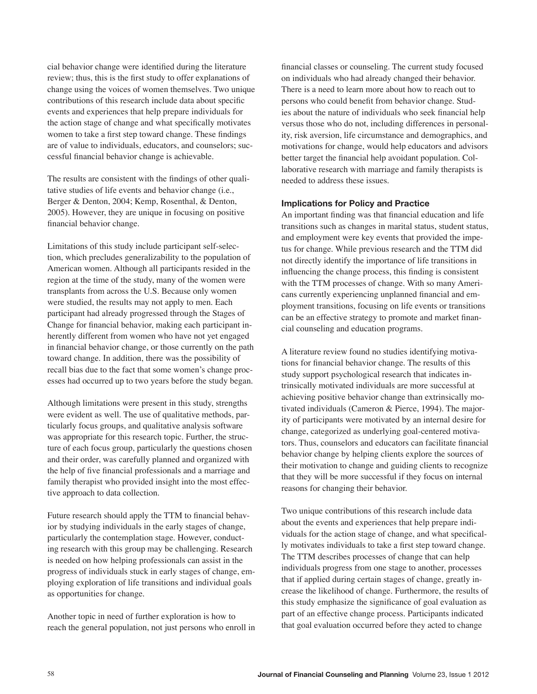cial behavior change were identified during the literature review; thus, this is the first study to offer explanations of change using the voices of women themselves. Two unique contributions of this research include data about specific events and experiences that help prepare individuals for the action stage of change and what specifically motivates women to take a first step toward change. These findings are of value to individuals, educators, and counselors; successful financial behavior change is achievable.

The results are consistent with the findings of other qualitative studies of life events and behavior change (i.e., Berger & Denton, 2004; Kemp, Rosenthal, & Denton, 2005). However, they are unique in focusing on positive financial behavior change.

Limitations of this study include participant self-selection, which precludes generalizability to the population of American women. Although all participants resided in the region at the time of the study, many of the women were transplants from across the U.S. Because only women were studied, the results may not apply to men. Each participant had already progressed through the Stages of Change for financial behavior, making each participant inherently different from women who have not yet engaged in financial behavior change, or those currently on the path toward change. In addition, there was the possibility of recall bias due to the fact that some women's change processes had occurred up to two years before the study began.

Although limitations were present in this study, strengths were evident as well. The use of qualitative methods, particularly focus groups, and qualitative analysis software was appropriate for this research topic. Further, the structure of each focus group, particularly the questions chosen and their order, was carefully planned and organized with the help of five financial professionals and a marriage and family therapist who provided insight into the most effective approach to data collection.

Future research should apply the TTM to financial behavior by studying individuals in the early stages of change, particularly the contemplation stage. However, conducting research with this group may be challenging. Research is needed on how helping professionals can assist in the progress of individuals stuck in early stages of change, employing exploration of life transitions and individual goals as opportunities for change.

Another topic in need of further exploration is how to reach the general population, not just persons who enroll in

financial classes or counseling. The current study focused on individuals who had already changed their behavior. There is a need to learn more about how to reach out to persons who could benefit from behavior change. Studies about the nature of individuals who seek financial help versus those who do not, including differences in personality, risk aversion, life circumstance and demographics, and motivations for change, would help educators and advisors better target the financial help avoidant population. Collaborative research with marriage and family therapists is needed to address these issues.

# **Implications for Policy and Practice**

An important finding was that financial education and life transitions such as changes in marital status, student status, and employment were key events that provided the impetus for change. While previous research and the TTM did not directly identify the importance of life transitions in influencing the change process, this finding is consistent with the TTM processes of change. With so many Americans currently experiencing unplanned financial and employment transitions, focusing on life events or transitions can be an effective strategy to promote and market financial counseling and education programs.

A literature review found no studies identifying motivations for financial behavior change. The results of this study support psychological research that indicates intrinsically motivated individuals are more successful at achieving positive behavior change than extrinsically motivated individuals (Cameron & Pierce, 1994). The majority of participants were motivated by an internal desire for change, categorized as underlying goal-centered motivators. Thus, counselors and educators can facilitate financial behavior change by helping clients explore the sources of their motivation to change and guiding clients to recognize that they will be more successful if they focus on internal reasons for changing their behavior.

Two unique contributions of this research include data about the events and experiences that help prepare individuals for the action stage of change, and what specifically motivates individuals to take a first step toward change. The TTM describes processes of change that can help individuals progress from one stage to another, processes that if applied during certain stages of change, greatly increase the likelihood of change. Furthermore, the results of this study emphasize the significance of goal evaluation as part of an effective change process. Participants indicated that goal evaluation occurred before they acted to change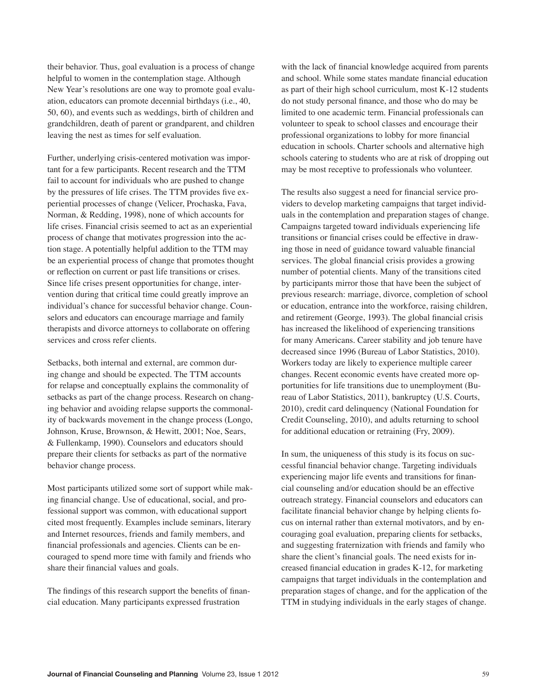their behavior. Thus, goal evaluation is a process of change helpful to women in the contemplation stage. Although New Year's resolutions are one way to promote goal evaluation, educators can promote decennial birthdays (i.e., 40, 50, 60), and events such as weddings, birth of children and grandchildren, death of parent or grandparent, and children leaving the nest as times for self evaluation.

Further, underlying crisis-centered motivation was important for a few participants. Recent research and the TTM fail to account for individuals who are pushed to change by the pressures of life crises. The TTM provides five experiential processes of change (Velicer, Prochaska, Fava, Norman, & Redding, 1998), none of which accounts for life crises. Financial crisis seemed to act as an experiential process of change that motivates progression into the action stage. A potentially helpful addition to the TTM may be an experiential process of change that promotes thought or reflection on current or past life transitions or crises. Since life crises present opportunities for change, intervention during that critical time could greatly improve an individual's chance for successful behavior change. Counselors and educators can encourage marriage and family therapists and divorce attorneys to collaborate on offering services and cross refer clients.

Setbacks, both internal and external, are common during change and should be expected. The TTM accounts for relapse and conceptually explains the commonality of setbacks as part of the change process. Research on changing behavior and avoiding relapse supports the commonality of backwards movement in the change process (Longo, Johnson, Kruse, Brownson, & Hewitt, 2001; Noe, Sears, & Fullenkamp, 1990). Counselors and educators should prepare their clients for setbacks as part of the normative behavior change process.

Most participants utilized some sort of support while making financial change. Use of educational, social, and professional support was common, with educational support cited most frequently. Examples include seminars, literary and Internet resources, friends and family members, and financial professionals and agencies. Clients can be encouraged to spend more time with family and friends who share their financial values and goals.

The findings of this research support the benefits of financial education. Many participants expressed frustration

with the lack of financial knowledge acquired from parents and school. While some states mandate financial education as part of their high school curriculum, most K-12 students do not study personal finance, and those who do may be limited to one academic term. Financial professionals can volunteer to speak to school classes and encourage their professional organizations to lobby for more financial education in schools. Charter schools and alternative high schools catering to students who are at risk of dropping out may be most receptive to professionals who volunteer.

The results also suggest a need for financial service providers to develop marketing campaigns that target individuals in the contemplation and preparation stages of change. Campaigns targeted toward individuals experiencing life transitions or financial crises could be effective in drawing those in need of guidance toward valuable financial services. The global financial crisis provides a growing number of potential clients. Many of the transitions cited by participants mirror those that have been the subject of previous research: marriage, divorce, completion of school or education, entrance into the workforce, raising children, and retirement (George, 1993). The global financial crisis has increased the likelihood of experiencing transitions for many Americans. Career stability and job tenure have decreased since 1996 (Bureau of Labor Statistics, 2010). Workers today are likely to experience multiple career changes. Recent economic events have created more opportunities for life transitions due to unemployment (Bureau of Labor Statistics, 2011), bankruptcy (U.S. Courts, 2010), credit card delinquency (National Foundation for Credit Counseling, 2010), and adults returning to school for additional education or retraining (Fry, 2009).

In sum, the uniqueness of this study is its focus on successful financial behavior change. Targeting individuals experiencing major life events and transitions for financial counseling and/or education should be an effective outreach strategy. Financial counselors and educators can facilitate financial behavior change by helping clients focus on internal rather than external motivators, and by encouraging goal evaluation, preparing clients for setbacks, and suggesting fraternization with friends and family who share the client's financial goals. The need exists for increased financial education in grades K-12, for marketing campaigns that target individuals in the contemplation and preparation stages of change, and for the application of the TTM in studying individuals in the early stages of change.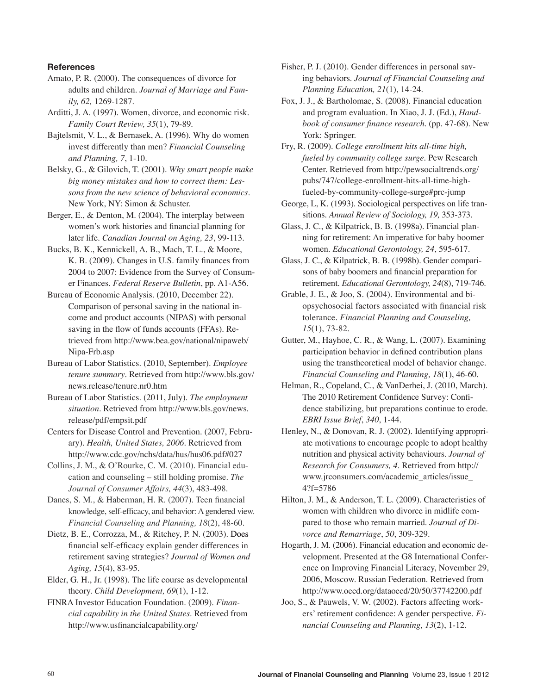## **References**

- Amato, P. R. (2000). The consequences of divorce for adults and children. *Journal of Marriage and Family, 62,* 1269-1287.
- Arditti, J. A. (1997). Women, divorce, and economic risk. *Family Court Review, 35*(1), 79-89.
- Bajtelsmit, V. L., & Bernasek, A. (1996). Why do women invest differently than men? *Financial Counseling and Planning, 7*, 1-10.
- Belsky, G., & Gilovich, T. (2001). *Why smart people make big money mistakes and how to correct them: Lessons from the new science of behavioral economics.* New York, NY: Simon & Schuster.
- Berger, E., & Denton, M. (2004). The interplay between women's work histories and financial planning for later life. *Canadian Journal on Aging, 23*, 99-113.
- Bucks, B. K., Kennickell, A. B., Mach, T. L., & Moore, K. B. (2009). Changes in U.S. family finances from 2004 to 2007: Evidence from the Survey of Consumer Finances. *Federal Reserve Bulletin*, pp. A1-A56.
- Bureau of Economic Analysis. (2010, December 22). Comparison of personal saving in the national income and product accounts (NIPAS) with personal saving in the flow of funds accounts (FFAs). Retrieved from http://www.bea.gov/national/nipaweb/ Nipa-Frb.asp
- Bureau of Labor Statistics. (2010, September). *Employee tenure summary*. Retrieved from http://www.bls.gov/ news.release/tenure.nr0.htm
- Bureau of Labor Statistics. (2011, July). *The employment situation*. Retrieved from http://www.bls.gov/news. release/pdf/empsit.pdf
- Centers for Disease Control and Prevention. (2007, February). *Health, United States, 2006*. Retrieved from http://www.cdc.gov/nchs/data/hus/hus06.pdf#027
- Collins, J. M., & O'Rourke, C. M. (2010). Financial education and counseling – still holding promise. *The Journal of Consumer Affairs, 44*(3), 483-498.
- Danes, S. M., & Haberman, H. R. (2007). Teen financial knowledge, self-efficacy, and behavior: A gendered view. *Financial Counseling and Planning, 18*(2), 48-60.
- Dietz, B. E., Corrozza, M., & Ritchey, P. N. (2003). Does financial self-efficacy explain gender differences in retirement saving strategies? *Journal of Women and Aging, 15*(4), 83-95.
- Elder, G. H., Jr. (1998). The life course as developmental theory. *Child Development, 69*(1), 1-12.
- FINRA Investor Education Foundation. (2009). *Financial capability in the United States.* Retrieved from http://www.usfinancialcapability.org/
- Fisher, P. J. (2010). Gender differences in personal saving behaviors. *Journal of Financial Counseling and Planning Education, 21*(1), 14-24.
- Fox, J. J., & Bartholomae, S. (2008). Financial education and program evaluation. In Xiao, J. J. (Ed.), *Handbook of consumer finance research.* (pp. 47-68). New York: Springer.
- Fry, R. (2009). *College enrollment hits all-time high, fueled by community college surge*. Pew Research Center. Retrieved from http://pewsocialtrends.org/ pubs/747/college-enrollment-hits-all-time-highfueled-by-community-college-surge#prc-jump
- George, L, K. (1993). Sociological perspectives on life transitions. *Annual Review of Sociology, 19,* 353-373.
- Glass, J. C., & Kilpatrick, B. B. (1998a). Financial planning for retirement: An imperative for baby boomer women. *Educational Gerontology, 24*, 595-617.
- Glass, J. C., & Kilpatrick, B. B. (1998b). Gender comparisons of baby boomers and financial preparation for retirement. *Educational Gerontology, 24*(8), 719-746.
- Grable, J. E., & Joo, S. (2004). Environmental and biopsychosocial factors associated with financial risk tolerance. *Financial Planning and Counseling, 15*(1), 73-82.
- Gutter, M., Hayhoe, C. R., & Wang, L. (2007). Examining participation behavior in defined contribution plans using the transtheoretical model of behavior change. *Financial Counseling and Planning, 18*(1), 46-60.
- Helman, R., Copeland, C., & VanDerhei, J. (2010, March). The 2010 Retirement Confidence Survey: Confidence stabilizing, but preparations continue to erode. *EBRI Issue Brief*, *340*, 1-44.
- Henley, N., & Donovan, R. J. (2002). Identifying appropriate motivations to encourage people to adopt healthy nutrition and physical activity behaviours. *Journal of Research for Consumers, 4.* Retrieved from http:// www.jrconsumers.com/academic\_articles/issue\_ 4?f=5786
- Hilton, J. M., & Anderson, T. L. (2009). Characteristics of women with children who divorce in midlife compared to those who remain married. *Journal of Divorce and Remarriage*, *50*, 309-329.
- Hogarth, J. M. (2006). Financial education and economic development. Presented at the G8 International Conference on Improving Financial Literacy, November 29, 2006, Moscow. Russian Federation. Retrieved from http://www.oecd.org/dataoecd/20/50/37742200.pdf
- Joo, S., & Pauwels, V. W. (2002). Factors affecting workers' retirement confidence: A gender perspective. *Financial Counseling and Planning, 13*(2), 1-12.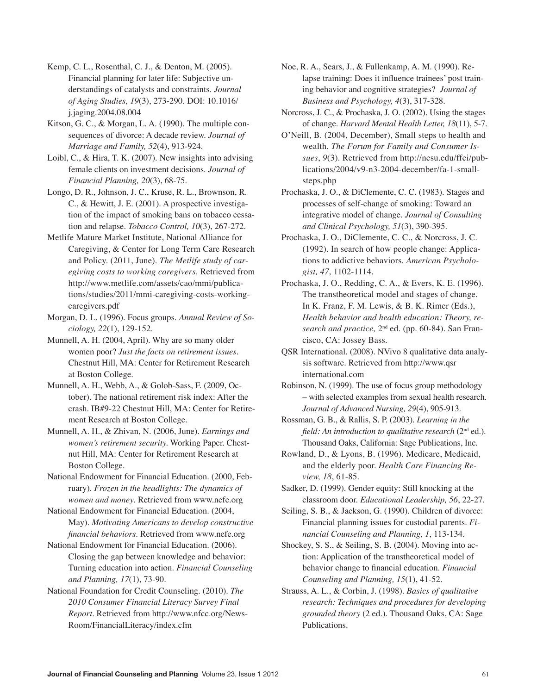Kemp, C. L., Rosenthal, C. J., & Denton, M. (2005). Financial planning for later life: Subjective understandings of catalysts and constraints. *Journal of Aging Studies, 19*(3), 273-290. DOI: 10.1016/ j.jaging.2004.08.004

Kitson, G. C., & Morgan, L. A. (1990). The multiple consequences of divorce: A decade review. *Journal of Marriage and Family, 52*(4), 913-924.

Loibl, C., & Hira, T. K. (2007). New insights into advising female clients on investment decisions. *Journal of Financial Planning, 20*(3), 68-75.

Longo, D. R., Johnson, J. C., Kruse, R. L., Brownson, R. C., & Hewitt, J. E. (2001). A prospective investigation of the impact of smoking bans on tobacco cessation and relapse. *Tobacco Control, 10*(3), 267-272.

Metlife Mature Market Institute, National Alliance for Caregiving, & Center for Long Term Care Research and Policy. (2011, June). *The Metlife study of caregiving costs to working caregivers*. Retrieved from http://www.metlife.com/assets/cao/mmi/publications/studies/2011/mmi-caregiving-costs-workingcaregivers.pdf

Morgan, D. L. (1996). Focus groups. *Annual Review of Sociology, 22*(1), 129-152.

Munnell, A. H. (2004, April). Why are so many older women poor? *Just the facts on retirement issues*. Chestnut Hill, MA: Center for Retirement Research at Boston College.

Munnell, A. H., Webb, A., & Golob-Sass, F. (2009, October). The national retirement risk index: After the crash. IB#9-22 Chestnut Hill, MA: Center for Retirement Research at Boston College.

Munnell, A. H., & Zhivan, N. (2006, June). *Earnings and women's retirement security.* Working Paper. Chestnut Hill, MA: Center for Retirement Research at Boston College.

National Endowment for Financial Education. (2000, February). *Frozen in the headlights: The dynamics of women and money*. Retrieved from www.nefe.org

National Endowment for Financial Education. (2004, May). *Motivating Americans to develop constructive financial behaviors*. Retrieved from www.nefe.org

National Endowment for Financial Education. (2006). Closing the gap between knowledge and behavior: Turning education into action. *Financial Counseling and Planning, 17*(1), 73-90.

National Foundation for Credit Counseling. (2010). *The 2010 Consumer Financial Literacy Survey Final Report*. Retrieved from http://www.nfcc.org/News-Room/FinancialLiteracy/index.cfm

Noe, R. A., Sears, J., & Fullenkamp, A. M. (1990). Relapse training: Does it influence trainees' post training behavior and cognitive strategies? *Journal of Business and Psychology, 4*(3), 317-328.

Norcross, J. C., & Prochaska, J. O. (2002). Using the stages of change. *Harvard Mental Health Letter, 18*(11), 5-7.

O'Neill, B. (2004, December), Small steps to health and wealth. *The Forum for Family and Consumer Issues*, *9*(3). Retrieved from http://ncsu.edu/ffci/publications/2004/v9-n3-2004-december/fa-1-smallsteps.php

Prochaska, J. O., & DiClemente, C. C. (1983). Stages and processes of self-change of smoking: Toward an integrative model of change. *Journal of Consulting and Clinical Psychology, 51*(3), 390-395.

Prochaska, J. O., DiClemente, C. C., & Norcross, J. C. (1992). In search of how people change: Applications to addictive behaviors. *American Psychologist, 47*, 1102-1114.

Prochaska, J. O., Redding, C. A., & Evers, K. E. (1996). The transtheoretical model and stages of change. In K. Franz, F. M. Lewis, & B. K. Rimer (Eds.), *Health behavior and health education: Theory, research and practice,* 2nd ed. (pp. 60-84). San Francisco, CA: Jossey Bass.

QSR International. (2008). NVivo 8 qualitative data analysis software. Retrieved from http://www.qsr international.com

Robinson, N. (1999). The use of focus group methodology – with selected examples from sexual health research. *Journal of Advanced Nursing, 29*(4), 905-913.

Rossman, G. B., & Rallis, S. P. (2003). *Learning in the field: An introduction to qualitative research* (2<sup>nd</sup> ed.). Thousand Oaks, California: Sage Publications, Inc.

Rowland, D., & Lyons, B. (1996). Medicare, Medicaid, and the elderly poor. *Health Care Financing Review, 18*, 61-85.

Sadker, D. (1999). Gender equity: Still knocking at the classroom door. *Educational Leadership, 56*, 22-27.

Seiling, S. B., & Jackson, G. (1990). Children of divorce: Financial planning issues for custodial parents. *Financial Counseling and Planning, 1*, 113-134.

Shockey, S. S., & Seiling, S. B. (2004). Moving into action: Application of the transtheoretical model of behavior change to financial education. *Financial Counseling and Planning, 15*(1), 41-52.

Strauss, A. L., & Corbin, J. (1998). *Basics of qualitative research: Techniques and procedures for developing grounded theory* (2 ed.). Thousand Oaks, CA: Sage Publications.